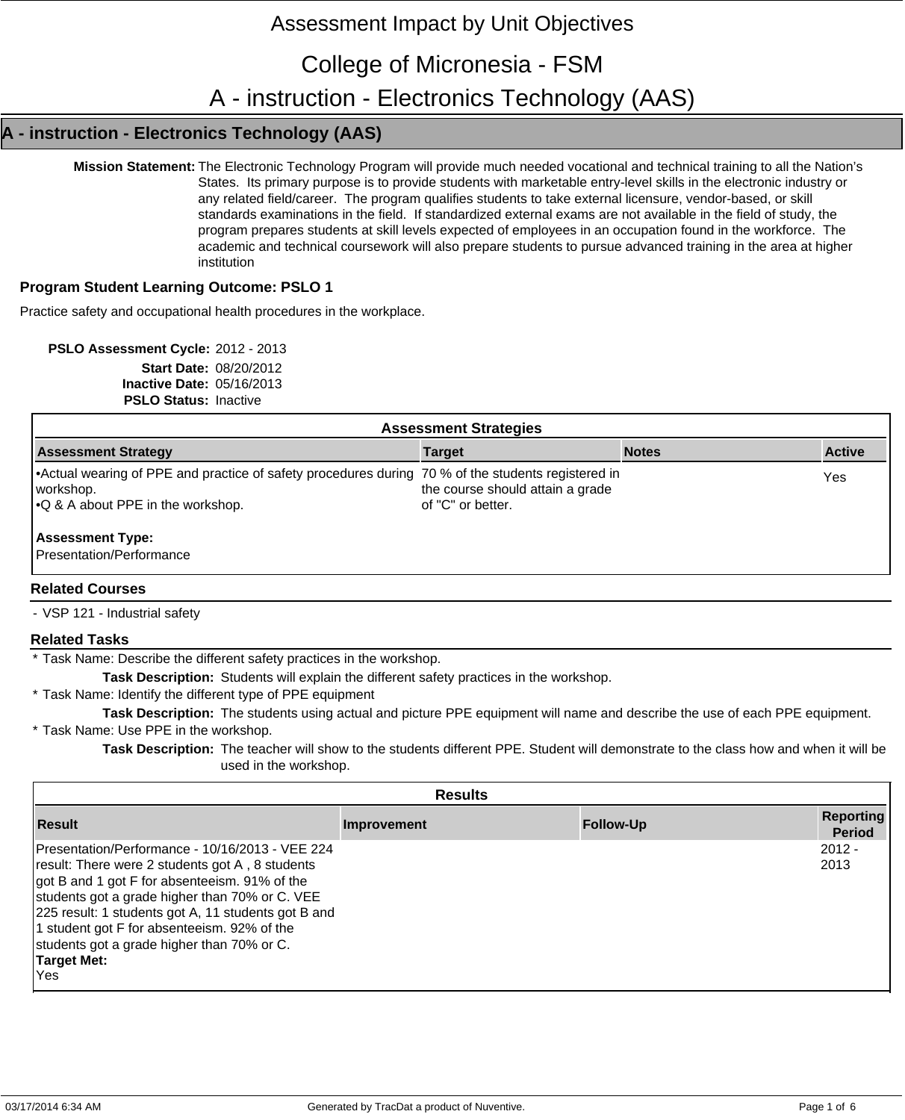# Assessment Impact by Unit Objectives

College of Micronesia - FSM

A - instruction - Electronics Technology (AAS)

## **A - instruction - Electronics Technology (AAS)**

**Mission Statement:** The Electronic Technology Program will provide much needed vocational and technical training to all the Nation's States. Its primary purpose is to provide students with marketable entry-level skills in the electronic industry or any related field/career. The program qualifies students to take external licensure, vendor-based, or skill standards examinations in the field. If standardized external exams are not available in the field of study, the program prepares students at skill levels expected of employees in an occupation found in the workforce. The academic and technical coursework will also prepare students to pursue advanced training in the area at higher institution

#### **Program Student Learning Outcome: PSLO 1**

Practice safety and occupational health procedures in the workplace.

**PSLO Assessment Cycle:** 2012 - 2013 **Start Date:** 08/20/2012 **Inactive Date:** 05/16/2013 **PSLO Status:** Inactive

| <b>Assessment Strategies</b>                                                                                                                                 |               |
|--------------------------------------------------------------------------------------------------------------------------------------------------------------|---------------|
| <b>Notes</b><br><b>Target</b>                                                                                                                                | <b>Active</b> |
| • Actual wearing of PPE and practice of safety procedures during 70 % of the students registered in<br>the course should attain a grade<br>of "C" or better. | Yes           |
|                                                                                                                                                              |               |
|                                                                                                                                                              |               |

- VSP 121 - Industrial safety

#### **Related Tasks**

\* Task Name: Describe the different safety practices in the workshop.

**Task Description:** Students will explain the different safety practices in the workshop.

\* Task Name: Identify the different type of PPE equipment

**Task Description:** The students using actual and picture PPE equipment will name and describe the use of each PPE equipment.

\* Task Name: Use PPE in the workshop.

**Task Description:** The teacher will show to the students different PPE. Student will demonstrate to the class how and when it will be used in the workshop.

| <b>Results</b>                                                                                                                                                                                                                                                                                                                                                                         |             |                  |                                   |
|----------------------------------------------------------------------------------------------------------------------------------------------------------------------------------------------------------------------------------------------------------------------------------------------------------------------------------------------------------------------------------------|-------------|------------------|-----------------------------------|
| <b>Result</b>                                                                                                                                                                                                                                                                                                                                                                          | Improvement | <b>Follow-Up</b> | <b>Reporting</b><br><b>Period</b> |
| Presentation/Performance - 10/16/2013 - VEE 224<br>result: There were 2 students got A, 8 students<br>got B and 1 got F for absenteeism. 91% of the<br>students got a grade higher than 70% or C. VEE<br>225 result: 1 students got A, 11 students got B and<br>1 student got F for absenteeism. 92% of the<br>students got a grade higher than 70% or C.<br><b>Target Met:</b><br>Yes |             |                  | $2012 -$<br>2013                  |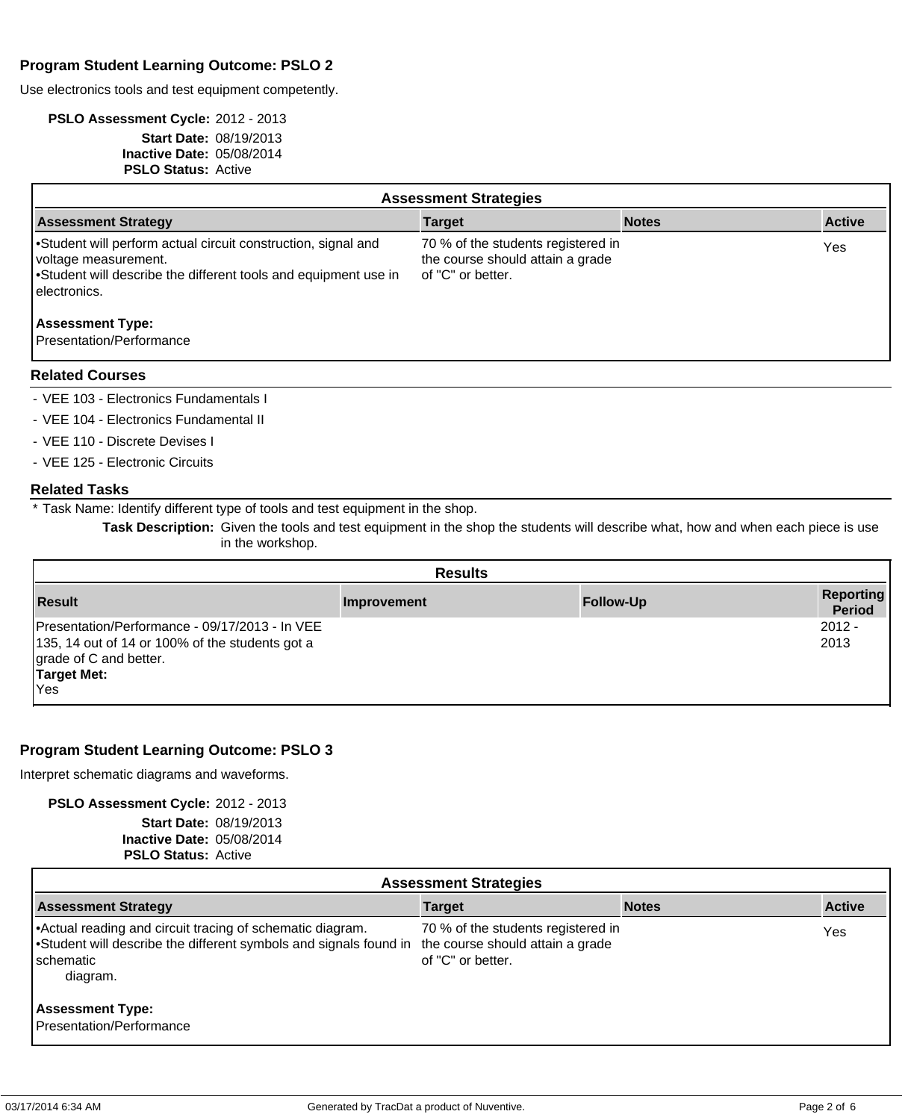## **Program Student Learning Outcome: PSLO 2**

Use electronics tools and test equipment competently.

#### **PSLO Assessment Cycle:** 2012 - 2013 **Start Date:** 08/19/2013 **Inactive Date:** 05/08/2014 **PSLO Status:** Active

| <b>Assessment Strategies</b>                                                                                                                                             |                                                                                             |              |               |  |
|--------------------------------------------------------------------------------------------------------------------------------------------------------------------------|---------------------------------------------------------------------------------------------|--------------|---------------|--|
| <b>Assessment Strategy</b>                                                                                                                                               | <b>Target</b>                                                                               | <b>Notes</b> | <b>Active</b> |  |
| Student will perform actual circuit construction, signal and<br>voltage measurement.<br>Student will describe the different tools and equipment use in<br>l electronics. | 70 % of the students registered in<br>the course should attain a grade<br>of "C" or better. |              | Yes           |  |
| <b>Assessment Type:</b><br>Presentation/Performance                                                                                                                      |                                                                                             |              |               |  |

#### **Related Courses**

- VEE 103 - Electronics Fundamentals I

- VEE 104 Electronics Fundamental II
- VEE 110 Discrete Devises I

- VEE 125 - Electronic Circuits

#### **Related Tasks**

\* Task Name: Identify different type of tools and test equipment in the shop.

**Task Description:** Given the tools and test equipment in the shop the students will describe what, how and when each piece is use in the workshop.

| <b>Results</b>                                                                                                                                    |             |                  |                            |
|---------------------------------------------------------------------------------------------------------------------------------------------------|-------------|------------------|----------------------------|
| <b>Result</b>                                                                                                                                     | Improvement | <b>Follow-Up</b> | <b>Reporting</b><br>Period |
| Presentation/Performance - 09/17/2013 - In VEE<br>135, 14 out of 14 or 100% of the students got a<br>grade of C and better.<br>Target Met:<br>Yes |             |                  | $2012 -$<br>2013           |

## **Program Student Learning Outcome: PSLO 3**

Interpret schematic diagrams and waveforms.

**PSLO Assessment Cycle:** 2012 - 2013

|                             | <b>Start Date: 08/19/2013</b> |
|-----------------------------|-------------------------------|
| Inactive Date: $05/08/2014$ |                               |
| <b>PSLO Status: Active</b>  |                               |

| <b>Assessment Strategies</b>                                                                                                                                                               |                                                         |              |               |  |
|--------------------------------------------------------------------------------------------------------------------------------------------------------------------------------------------|---------------------------------------------------------|--------------|---------------|--|
| <b>Assessment Strategy</b>                                                                                                                                                                 | <b>Target</b>                                           | <b>Notes</b> | <b>Active</b> |  |
| Actual reading and circuit tracing of schematic diagram.<br>• Student will describe the different symbols and signals found in the course should attain a grade<br>l schematic<br>diagram. | 70 % of the students registered in<br>of "C" or better. |              | Yes           |  |
| <b>Assessment Type:</b><br>Presentation/Performance                                                                                                                                        |                                                         |              |               |  |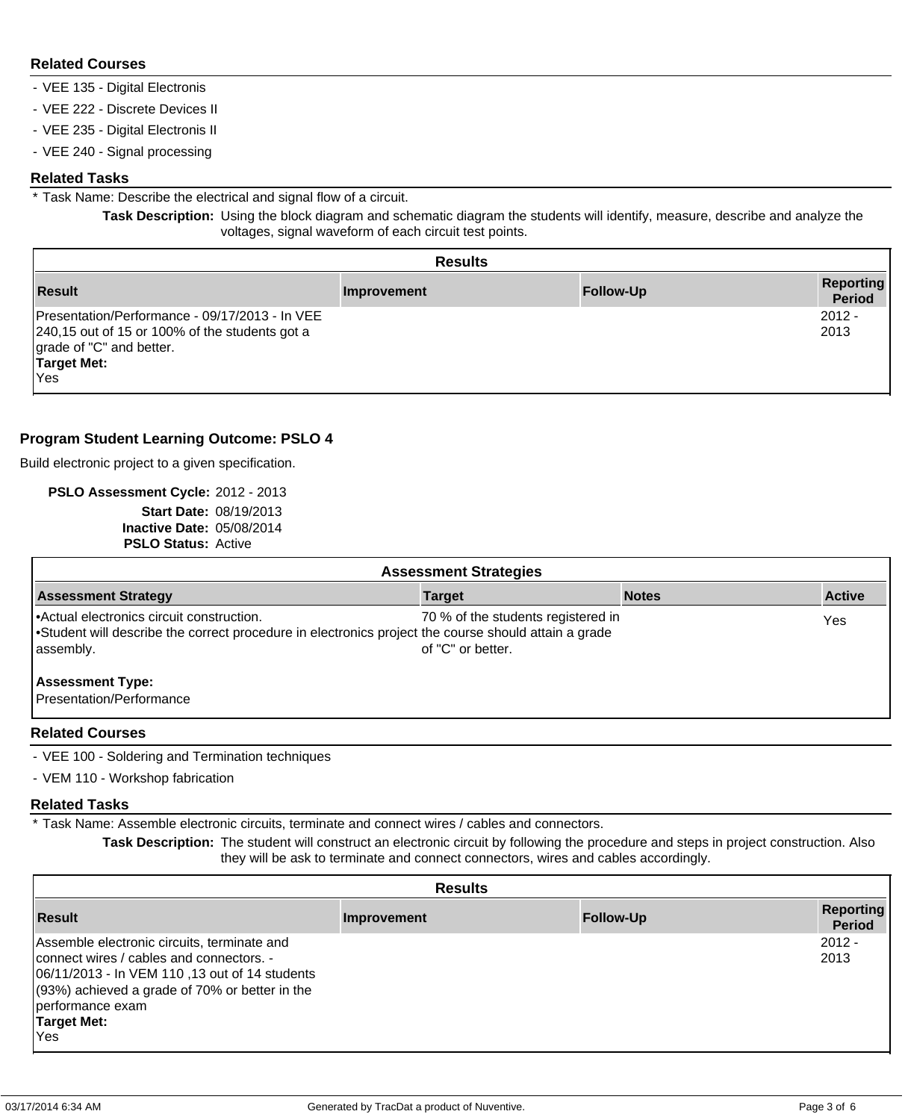#### **Related Courses**

- VEE 135 Digital Electronis
- VEE 222 Discrete Devices II
- VEE 235 Digital Electronis II
- VEE 240 Signal processing

#### **Related Tasks**

\* Task Name: Describe the electrical and signal flow of a circuit.

**Task Description:** Using the block diagram and schematic diagram the students will identify, measure, describe and analyze the voltages, signal waveform of each circuit test points.

| <b>Results</b>                                                                                                                                            |             |                  |                                   |
|-----------------------------------------------------------------------------------------------------------------------------------------------------------|-------------|------------------|-----------------------------------|
| <b>Result</b>                                                                                                                                             | Improvement | <b>Follow-Up</b> | <b>Reporting</b><br><b>Period</b> |
| Presentation/Performance - 09/17/2013 - In VEE<br>240,15 out of 15 or 100% of the students got a<br>grade of "C" and better.<br><b>Target Met:</b><br>Yes |             |                  | $2012 -$<br>2013                  |

## **Program Student Learning Outcome: PSLO 4**

Build electronic project to a given specification.

**PSLO Assessment Cycle:** 2012 - 2013 **Start Date:** 08/19/2013 **Inactive Date:** 05/08/2014 **PSLO Status:** Active

| <b>Assessment Strategies</b>                                                                                                                                 |                                                         |              |               |  |
|--------------------------------------------------------------------------------------------------------------------------------------------------------------|---------------------------------------------------------|--------------|---------------|--|
| <b>Assessment Strategy</b>                                                                                                                                   | <b>Target</b>                                           | <b>Notes</b> | <b>Active</b> |  |
| Actual electronics circuit construction.<br>Student will describe the correct procedure in electronics project the course should attain a grade<br>assembly. | 70 % of the students registered in<br>of "C" or better. |              | Yes           |  |
| <b>Assessment Type:</b><br>Presentation/Performance                                                                                                          |                                                         |              |               |  |
| <b>Balated Barrows</b>                                                                                                                                       |                                                         |              |               |  |

#### **Related Courses**

- VEE 100 Soldering and Termination techniques
- VEM 110 Workshop fabrication

#### **Related Tasks**

\* Task Name: Assemble electronic circuits, terminate and connect wires / cables and connectors.

**Task Description:** The student will construct an electronic circuit by following the procedure and steps in project construction. Also they will be ask to terminate and connect connectors, wires and cables accordingly.

| <b>Results</b>                                                                                                                                                                                                                                 |             |                  |                                   |
|------------------------------------------------------------------------------------------------------------------------------------------------------------------------------------------------------------------------------------------------|-------------|------------------|-----------------------------------|
| <b>Result</b>                                                                                                                                                                                                                                  | Improvement | <b>Follow-Up</b> | <b>Reporting</b><br><b>Period</b> |
| Assemble electronic circuits, terminate and<br>connect wires / cables and connectors. -<br>06/11/2013 - In VEM 110, 13 out of 14 students<br>$(93%)$ achieved a grade of 70% or better in the<br>performance exam<br><b>Target Met:</b><br>Yes |             |                  | $2012 -$<br>2013                  |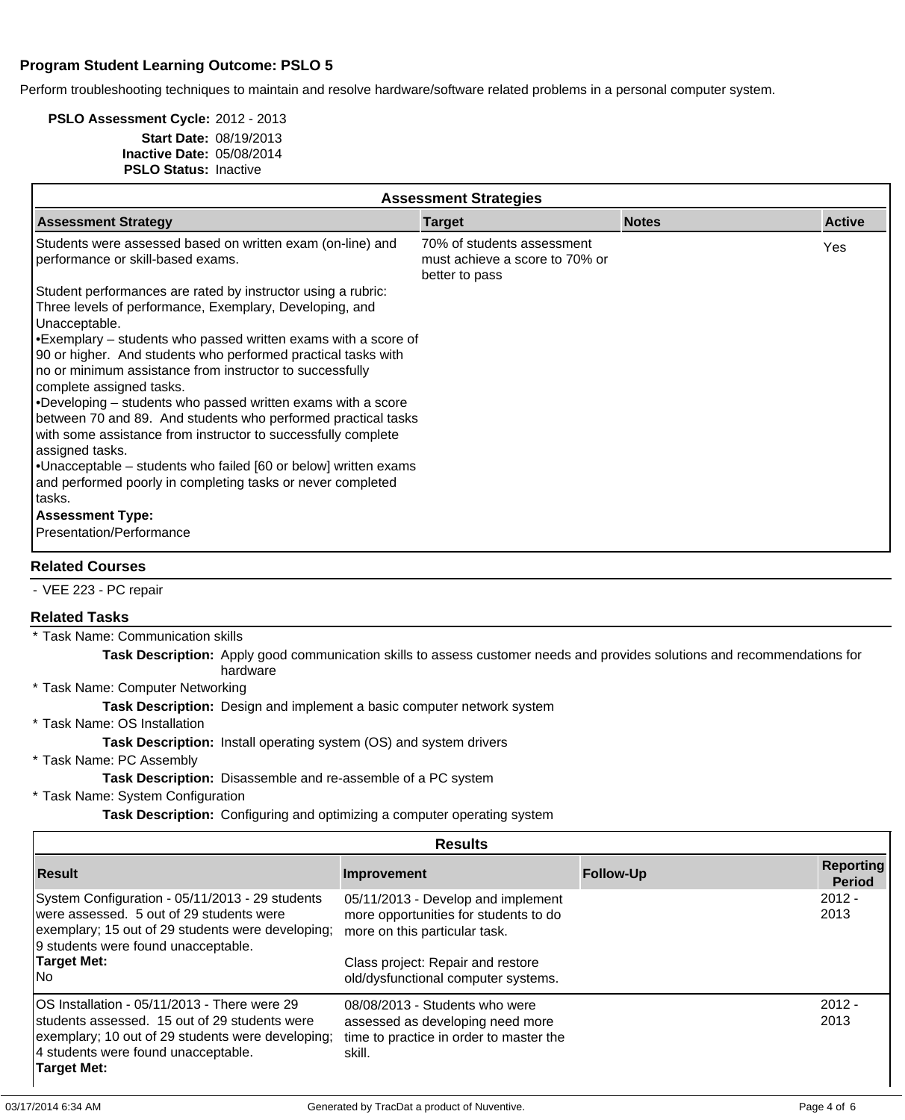## **Program Student Learning Outcome: PSLO 5**

Perform troubleshooting techniques to maintain and resolve hardware/software related problems in a personal computer system.

#### **PSLO Assessment Cycle:** 2012 - 2013 **Start Date:** 08/19/2013 **Inactive Date:** 05/08/2014 **PSLO Status:** Inactive

| <b>Assessment Strategies</b>                                                                                                                                                                                                                                                                                                                                                                                                                                                                                                   |                                                                                |              |               |  |
|--------------------------------------------------------------------------------------------------------------------------------------------------------------------------------------------------------------------------------------------------------------------------------------------------------------------------------------------------------------------------------------------------------------------------------------------------------------------------------------------------------------------------------|--------------------------------------------------------------------------------|--------------|---------------|--|
| <b>Assessment Strategy</b>                                                                                                                                                                                                                                                                                                                                                                                                                                                                                                     | <b>Target</b>                                                                  | <b>Notes</b> | <b>Active</b> |  |
| Students were assessed based on written exam (on-line) and<br>performance or skill-based exams.                                                                                                                                                                                                                                                                                                                                                                                                                                | 70% of students assessment<br>must achieve a score to 70% or<br>better to pass |              | Yes           |  |
| Student performances are rated by instructor using a rubric:<br>Three levels of performance, Exemplary, Developing, and<br>Unacceptable.                                                                                                                                                                                                                                                                                                                                                                                       |                                                                                |              |               |  |
| $\cdot$ Exemplary – students who passed written exams with a score of<br>90 or higher. And students who performed practical tasks with<br>no or minimum assistance from instructor to successfully<br>complete assigned tasks.<br>$\cdot$ Developing – students who passed written exams with a score<br>between 70 and 89. And students who performed practical tasks<br>with some assistance from instructor to successfully complete<br>assigned tasks.<br>• Unacceptable – students who failed [60 or below] written exams |                                                                                |              |               |  |
| and performed poorly in completing tasks or never completed<br>l tasks.                                                                                                                                                                                                                                                                                                                                                                                                                                                        |                                                                                |              |               |  |
| <b>Assessment Type:</b>                                                                                                                                                                                                                                                                                                                                                                                                                                                                                                        |                                                                                |              |               |  |
| Presentation/Performance                                                                                                                                                                                                                                                                                                                                                                                                                                                                                                       |                                                                                |              |               |  |
| <b>Related Courses</b>                                                                                                                                                                                                                                                                                                                                                                                                                                                                                                         |                                                                                |              |               |  |

- VEE 223 - PC repair

#### **Related Tasks**

\* Task Name: Communication skills

**Task Description:** Apply good communication skills to assess customer needs and provides solutions and recommendations for hardware

\* Task Name: Computer Networking

**Task Description:** Design and implement a basic computer network system

\* Task Name: OS Installation

**Task Description:** Install operating system (OS) and system drivers

\* Task Name: PC Assembly

#### **Task Description:** Disassemble and re-assemble of a PC system

\* Task Name: System Configuration

**Task Description:** Configuring and optimizing a computer operating system

| <b>Results</b>                                                                                                                                                                                           |                                                                                                                                                   |                  |                                   |
|----------------------------------------------------------------------------------------------------------------------------------------------------------------------------------------------------------|---------------------------------------------------------------------------------------------------------------------------------------------------|------------------|-----------------------------------|
| <b>Result</b>                                                                                                                                                                                            | Improvement                                                                                                                                       | <b>Follow-Up</b> | <b>Reporting</b><br><b>Period</b> |
| System Configuration - 05/11/2013 - 29 students<br>were assessed. 5 out of 29 students were<br>exemplary; 15 out of 29 students were developing;<br>9 students were found unacceptable.<br>Target Met:   | 05/11/2013 - Develop and implement<br>more opportunities for students to do<br>more on this particular task.<br>Class project: Repair and restore |                  | $2012 -$<br>2013                  |
| lNo                                                                                                                                                                                                      | old/dysfunctional computer systems.                                                                                                               |                  |                                   |
| OS Installation - 05/11/2013 - There were 29<br>students assessed. 15 out of 29 students were<br>exemplary; 10 out of 29 students were developing;<br>4 students were found unacceptable.<br>Target Met: | 08/08/2013 - Students who were<br>assessed as developing need more<br>time to practice in order to master the<br>skill.                           |                  | $2012 -$<br>2013                  |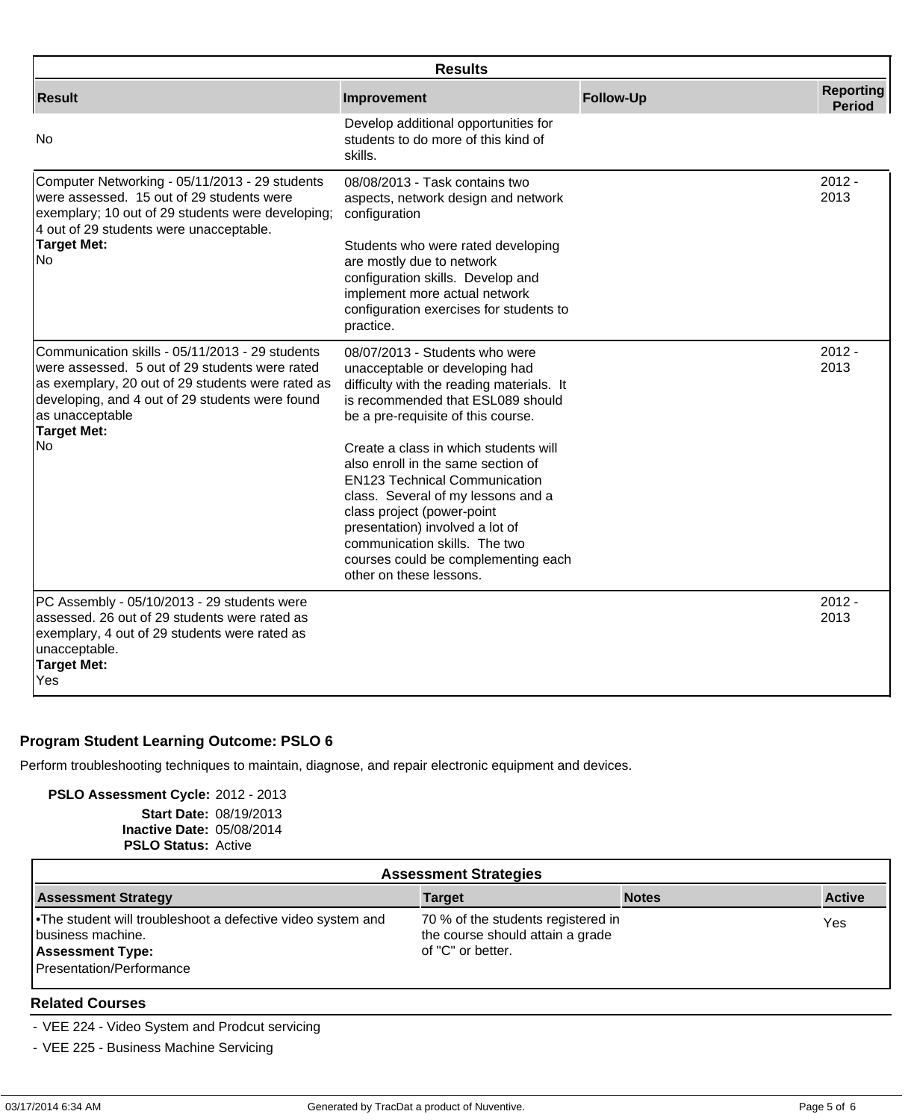| <b>Results</b>                                                                                                                                                                                                                                     |                                                                                                                                                                                                                                                                                                                               |                  |                                   |
|----------------------------------------------------------------------------------------------------------------------------------------------------------------------------------------------------------------------------------------------------|-------------------------------------------------------------------------------------------------------------------------------------------------------------------------------------------------------------------------------------------------------------------------------------------------------------------------------|------------------|-----------------------------------|
| <b>Result</b>                                                                                                                                                                                                                                      | Improvement                                                                                                                                                                                                                                                                                                                   | <b>Follow-Up</b> | <b>Reporting</b><br><b>Period</b> |
| No                                                                                                                                                                                                                                                 | Develop additional opportunities for<br>students to do more of this kind of<br>skills.                                                                                                                                                                                                                                        |                  |                                   |
| Computer Networking - 05/11/2013 - 29 students<br>were assessed. 15 out of 29 students were<br>exemplary; 10 out of 29 students were developing;<br>4 out of 29 students were unacceptable.                                                        | 08/08/2013 - Task contains two<br>aspects, network design and network<br>configuration                                                                                                                                                                                                                                        |                  | $2012 -$<br>2013                  |
| <b>Target Met:</b><br>No                                                                                                                                                                                                                           | Students who were rated developing<br>are mostly due to network<br>configuration skills. Develop and<br>implement more actual network<br>configuration exercises for students to<br>practice.                                                                                                                                 |                  |                                   |
| Communication skills - 05/11/2013 - 29 students<br>were assessed. 5 out of 29 students were rated<br>as exemplary, 20 out of 29 students were rated as<br>developing, and 4 out of 29 students were found<br>as unacceptable<br><b>Target Met:</b> | 08/07/2013 - Students who were<br>unacceptable or developing had<br>difficulty with the reading materials. It<br>is recommended that ESL089 should<br>be a pre-requisite of this course.                                                                                                                                      |                  | $2012 -$<br>2013                  |
| <b>No</b>                                                                                                                                                                                                                                          | Create a class in which students will<br>also enroll in the same section of<br><b>EN123 Technical Communication</b><br>class. Several of my lessons and a<br>class project (power-point<br>presentation) involved a lot of<br>communication skills. The two<br>courses could be complementing each<br>other on these lessons. |                  |                                   |
| PC Assembly - 05/10/2013 - 29 students were<br>assessed. 26 out of 29 students were rated as<br>exemplary, 4 out of 29 students were rated as<br>unacceptable.<br><b>Target Met:</b><br>Yes                                                        |                                                                                                                                                                                                                                                                                                                               |                  | $2012 -$<br>2013                  |

## **Program Student Learning Outcome: PSLO 6**

Perform troubleshooting techniques to maintain, diagnose, and repair electronic equipment and devices.

## **PSLO Assessment Cycle:** 2012 - 2013

**Start Date:** 08/19/2013 **Inactive Date:** 05/08/2014 **PSLO Status:** Active

| <b>Assessment Strategies</b>                                                                                                             |                                                                                             |              |               |  |
|------------------------------------------------------------------------------------------------------------------------------------------|---------------------------------------------------------------------------------------------|--------------|---------------|--|
| <b>Assessment Strategy</b>                                                                                                               | <b>Target</b>                                                                               | <b>Notes</b> | <b>Active</b> |  |
| • The student will troubleshoot a defective video system and<br>business machine.<br><b>Assessment Type:</b><br>Presentation/Performance | 70 % of the students registered in<br>the course should attain a grade<br>of "C" or better. |              | Yes           |  |

## **Related Courses**

- VEE 224 - Video System and Prodcut servicing

- VEE 225 - Business Machine Servicing